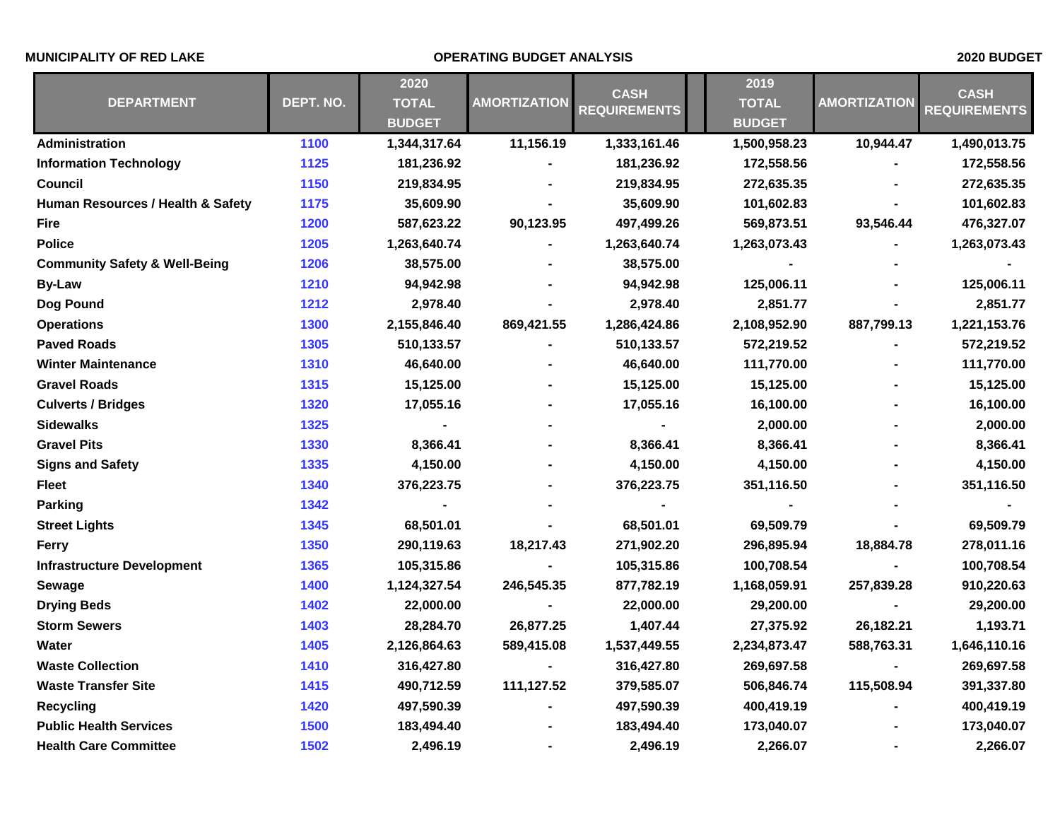## **MUNICIPALITY OF RED LAKE OPERATING BUDGET ANALYSIS 2020 BUDGET**

| <b>DEPARTMENT</b>                        | DEPT. NO. | 2020                          | <b>AMORTIZATION</b> | <b>CASH</b><br><b>REQUIREMENTS</b> | 2019          | <b>AMORTIZATION</b> | <b>CASH</b><br><b>REQUIREMENTS</b> |
|------------------------------------------|-----------|-------------------------------|---------------------|------------------------------------|---------------|---------------------|------------------------------------|
|                                          |           | <b>TOTAL</b><br><b>BUDGET</b> |                     |                                    | <b>TOTAL</b>  |                     |                                    |
|                                          |           |                               |                     |                                    | <b>BUDGET</b> |                     |                                    |
| <b>Administration</b>                    | 1100      | 1,344,317.64                  | 11,156.19           | 1,333,161.46                       | 1,500,958.23  | 10,944.47           | 1,490,013.75                       |
| <b>Information Technology</b>            | 1125      | 181,236.92                    |                     | 181,236.92                         | 172,558.56    |                     | 172,558.56                         |
| Council                                  | 1150      | 219,834.95                    |                     | 219,834.95                         | 272,635.35    |                     | 272,635.35                         |
| Human Resources / Health & Safety        | 1175      | 35,609.90                     |                     | 35,609.90                          | 101,602.83    |                     | 101,602.83                         |
| <b>Fire</b>                              | 1200      | 587,623.22                    | 90,123.95           | 497,499.26                         | 569,873.51    | 93,546.44           | 476,327.07                         |
| <b>Police</b>                            | 1205      | 1,263,640.74                  |                     | 1,263,640.74                       | 1,263,073.43  |                     | 1,263,073.43                       |
| <b>Community Safety &amp; Well-Being</b> | 1206      | 38,575.00                     |                     | 38,575.00                          |               |                     |                                    |
| <b>By-Law</b>                            | 1210      | 94,942.98                     |                     | 94,942.98                          | 125,006.11    |                     | 125,006.11                         |
| Dog Pound                                | 1212      | 2,978.40                      |                     | 2,978.40                           | 2,851.77      |                     | 2,851.77                           |
| <b>Operations</b>                        | 1300      | 2,155,846.40                  | 869,421.55          | 1,286,424.86                       | 2,108,952.90  | 887,799.13          | 1,221,153.76                       |
| <b>Paved Roads</b>                       | 1305      | 510,133.57                    |                     | 510,133.57                         | 572,219.52    |                     | 572,219.52                         |
| <b>Winter Maintenance</b>                | 1310      | 46,640.00                     |                     | 46,640.00                          | 111,770.00    |                     | 111,770.00                         |
| <b>Gravel Roads</b>                      | 1315      | 15,125.00                     |                     | 15,125.00                          | 15,125.00     |                     | 15,125.00                          |
| <b>Culverts / Bridges</b>                | 1320      | 17,055.16                     |                     | 17,055.16                          | 16,100.00     |                     | 16,100.00                          |
| <b>Sidewalks</b>                         | 1325      |                               |                     |                                    | 2,000.00      |                     | 2,000.00                           |
| <b>Gravel Pits</b>                       | 1330      | 8,366.41                      |                     | 8,366.41                           | 8,366.41      |                     | 8,366.41                           |
| <b>Signs and Safety</b>                  | 1335      | 4,150.00                      |                     | 4,150.00                           | 4,150.00      |                     | 4,150.00                           |
| <b>Fleet</b>                             | 1340      | 376,223.75                    |                     | 376,223.75                         | 351,116.50    |                     | 351,116.50                         |
| Parking                                  | 1342      |                               |                     |                                    |               |                     |                                    |
| <b>Street Lights</b>                     | 1345      | 68,501.01                     |                     | 68,501.01                          | 69,509.79     |                     | 69,509.79                          |
| <b>Ferry</b>                             | 1350      | 290,119.63                    | 18,217.43           | 271,902.20                         | 296,895.94    | 18,884.78           | 278,011.16                         |
| <b>Infrastructure Development</b>        | 1365      | 105,315.86                    |                     | 105,315.86                         | 100,708.54    |                     | 100,708.54                         |
| Sewage                                   | 1400      | 1,124,327.54                  | 246,545.35          | 877,782.19                         | 1,168,059.91  | 257,839.28          | 910,220.63                         |
| <b>Drying Beds</b>                       | 1402      | 22,000.00                     |                     | 22,000.00                          | 29,200.00     |                     | 29,200.00                          |
| <b>Storm Sewers</b>                      | 1403      | 28,284.70                     | 26,877.25           | 1,407.44                           | 27,375.92     | 26,182.21           | 1,193.71                           |
| Water                                    | 1405      | 2,126,864.63                  | 589,415.08          | 1,537,449.55                       | 2,234,873.47  | 588,763.31          | 1,646,110.16                       |
| <b>Waste Collection</b>                  | 1410      | 316,427.80                    |                     | 316,427.80                         | 269,697.58    |                     | 269,697.58                         |
| <b>Waste Transfer Site</b>               | 1415      | 490,712.59                    | 111,127.52          | 379,585.07                         | 506,846.74    | 115,508.94          | 391,337.80                         |
| <b>Recycling</b>                         | 1420      | 497,590.39                    |                     | 497,590.39                         | 400,419.19    |                     | 400,419.19                         |
| <b>Public Health Services</b>            | 1500      | 183,494.40                    |                     | 183,494.40                         | 173,040.07    |                     | 173,040.07                         |
| <b>Health Care Committee</b>             | 1502      | 2,496.19                      |                     | 2,496.19                           | 2,266.07      |                     | 2,266.07                           |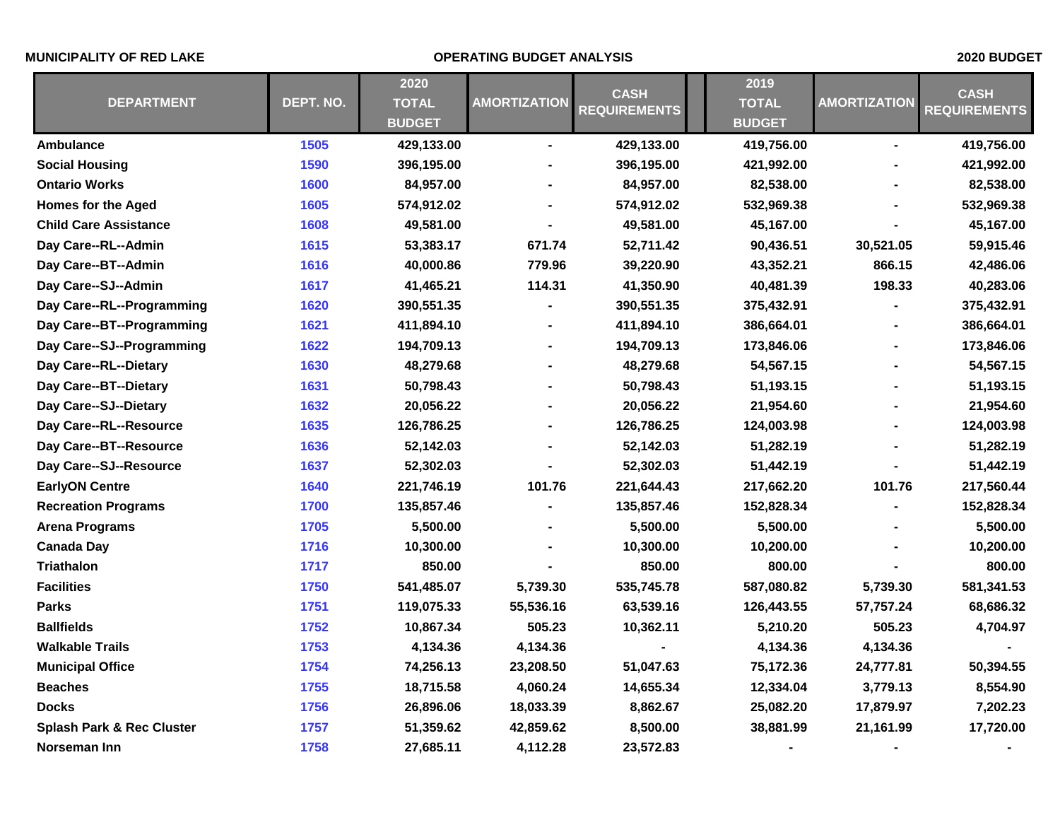## **MUNICIPALITY OF RED LAKE OPERATING BUDGET ANALYSIS 2020 BUDGET**

| <b>DEPARTMENT</b>                    |           | 2020          | <b>AMORTIZATION</b> | <b>CASH</b><br><b>REQUIREMENTS</b> | 2019          | <b>AMORTIZATION</b> | <b>CASH</b><br><b>REQUIREMENTS</b> |
|--------------------------------------|-----------|---------------|---------------------|------------------------------------|---------------|---------------------|------------------------------------|
|                                      | DEPT. NO. | <b>TOTAL</b>  |                     |                                    | <b>TOTAL</b>  |                     |                                    |
|                                      |           | <b>BUDGET</b> |                     |                                    | <b>BUDGET</b> |                     |                                    |
| Ambulance                            | 1505      | 429,133.00    | ٠                   | 429,133.00                         | 419,756.00    | $\blacksquare$      | 419,756.00                         |
| <b>Social Housing</b>                | 1590      | 396,195.00    |                     | 396,195.00                         | 421,992.00    |                     | 421,992.00                         |
| <b>Ontario Works</b>                 | 1600      | 84,957.00     |                     | 84,957.00                          | 82,538.00     |                     | 82,538.00                          |
| <b>Homes for the Aged</b>            | 1605      | 574,912.02    |                     | 574,912.02                         | 532,969.38    |                     | 532,969.38                         |
| <b>Child Care Assistance</b>         | 1608      | 49,581.00     | ۰                   | 49,581.00                          | 45,167.00     |                     | 45,167.00                          |
| Day Care--RL--Admin                  | 1615      | 53,383.17     | 671.74              | 52,711.42                          | 90,436.51     | 30,521.05           | 59,915.46                          |
| Day Care--BT--Admin                  | 1616      | 40,000.86     | 779.96              | 39,220.90                          | 43,352.21     | 866.15              | 42,486.06                          |
| Day Care--SJ--Admin                  | 1617      | 41,465.21     | 114.31              | 41,350.90                          | 40,481.39     | 198.33              | 40,283.06                          |
| Day Care--RL--Programming            | 1620      | 390,551.35    |                     | 390,551.35                         | 375,432.91    |                     | 375,432.91                         |
| Day Care--BT--Programming            | 1621      | 411,894.10    | ä,                  | 411,894.10                         | 386,664.01    |                     | 386,664.01                         |
| Day Care--SJ--Programming            | 1622      | 194,709.13    |                     | 194,709.13                         | 173,846.06    |                     | 173,846.06                         |
| Day Care--RL--Dietary                | 1630      | 48,279.68     |                     | 48,279.68                          | 54,567.15     |                     | 54,567.15                          |
| Day Care--BT--Dietary                | 1631      | 50,798.43     |                     | 50,798.43                          | 51,193.15     |                     | 51,193.15                          |
| Day Care--SJ--Dietary                | 1632      | 20,056.22     |                     | 20,056.22                          | 21,954.60     |                     | 21,954.60                          |
| Day Care--RL--Resource               | 1635      | 126,786.25    |                     | 126,786.25                         | 124,003.98    |                     | 124,003.98                         |
| Day Care--BT--Resource               | 1636      | 52,142.03     |                     | 52,142.03                          | 51,282.19     |                     | 51,282.19                          |
| Day Care--SJ--Resource               | 1637      | 52,302.03     |                     | 52,302.03                          | 51,442.19     |                     | 51,442.19                          |
| <b>EarlyON Centre</b>                | 1640      | 221,746.19    | 101.76              | 221,644.43                         | 217,662.20    | 101.76              | 217,560.44                         |
| <b>Recreation Programs</b>           | 1700      | 135,857.46    |                     | 135,857.46                         | 152,828.34    |                     | 152,828.34                         |
| <b>Arena Programs</b>                | 1705      | 5,500.00      |                     | 5,500.00                           | 5,500.00      |                     | 5,500.00                           |
| <b>Canada Day</b>                    | 1716      | 10,300.00     |                     | 10,300.00                          | 10,200.00     |                     | 10,200.00                          |
| <b>Triathalon</b>                    | 1717      | 850.00        |                     | 850.00                             | 800.00        |                     | 800.00                             |
| <b>Facilities</b>                    | 1750      | 541,485.07    | 5,739.30            | 535,745.78                         | 587,080.82    | 5,739.30            | 581,341.53                         |
| <b>Parks</b>                         | 1751      | 119,075.33    | 55,536.16           | 63,539.16                          | 126,443.55    | 57,757.24           | 68,686.32                          |
| <b>Ballfields</b>                    | 1752      | 10,867.34     | 505.23              | 10,362.11                          | 5,210.20      | 505.23              | 4,704.97                           |
| <b>Walkable Trails</b>               | 1753      | 4,134.36      | 4,134.36            |                                    | 4,134.36      | 4,134.36            |                                    |
| <b>Municipal Office</b>              | 1754      | 74,256.13     | 23,208.50           | 51,047.63                          | 75,172.36     | 24,777.81           | 50,394.55                          |
| <b>Beaches</b>                       | 1755      | 18,715.58     | 4,060.24            | 14,655.34                          | 12,334.04     | 3,779.13            | 8,554.90                           |
| <b>Docks</b>                         | 1756      | 26,896.06     | 18,033.39           | 8,862.67                           | 25,082.20     | 17,879.97           | 7,202.23                           |
| <b>Splash Park &amp; Rec Cluster</b> | 1757      | 51,359.62     | 42,859.62           | 8,500.00                           | 38,881.99     | 21,161.99           | 17,720.00                          |
| Norseman Inn                         | 1758      | 27,685.11     | 4,112.28            | 23,572.83                          |               |                     |                                    |